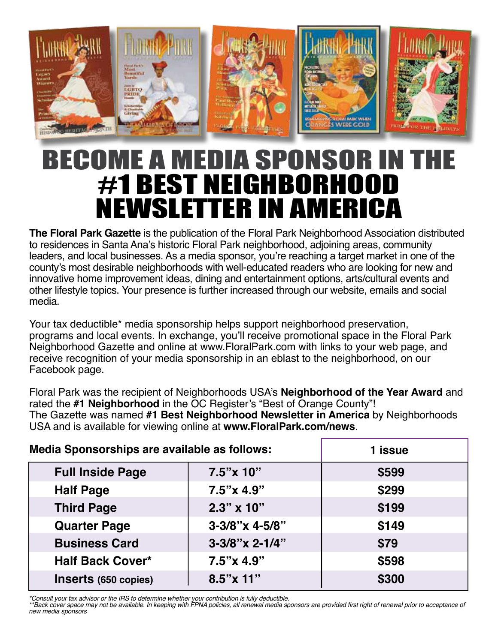

## BECOME A MEDIA SPONSOR IN T #1 Best neighborhood Newsletter in America

**The Floral Park Gazette** is the publication of the Floral Park Neighborhood Association distributed to residences in Santa Ana's historic Floral Park neighborhood, adjoining areas, community leaders, and local businesses. As a media sponsor, you're reaching a target market in one of the county's most desirable neighborhoods with well-educated readers who are looking for new and innovative home improvement ideas, dining and entertainment options, arts/cultural events and other lifestyle topics. Your presence is further increased through our website, emails and social media.

Your tax deductible\* media sponsorship helps support neighborhood preservation, programs and local events. In exchange, you'll receive promotional space in the Floral Park Neighborhood Gazette and online at www.FloralPark.com with links to your web page, and receive recognition of your media sponsorship in an eblast to the neighborhood, on our Facebook page.

Floral Park was the recipient of Neighborhoods USA's **Neighborhood of the Year Award** and rated the **#1 Neighborhood** in the OC Register's "Best of Orange County"! The Gazette was named **#1 Best Neighborhood Newsletter in America** by Neighborhoods USA and is available for viewing online at **www.FloralPark.com/news**.

| Media Sponsorships are available as follows: |                    | 1 issue |
|----------------------------------------------|--------------------|---------|
| <b>Full Inside Page</b>                      | $7.5" \times 10"$  | \$599   |
| <b>Half Page</b>                             | $7.5" \times 4.9"$ | \$299   |
| <b>Third Page</b>                            | $2.3" \times 10"$  | \$199   |
| <b>Quarter Page</b>                          | $3-3/8$ "x 4-5/8"  | \$149   |
| <b>Business Card</b>                         | 3-3/8"x 2-1/4"     | \$79    |
| <b>Half Back Cover*</b>                      | $7.5" \times 4.9"$ | \$598   |
| Inserts (650 copies)                         | $8.5''$ x 11"      | \$300   |

*\*Consult your tax advisor or the IRS to determine whether your contribution is fully deductible.* 

\*\*Back cover space may not be available. In keeping with FPNA policies, all renewal media sponsors are provided first right of renewal prior to acceptance of *new media sponsors*